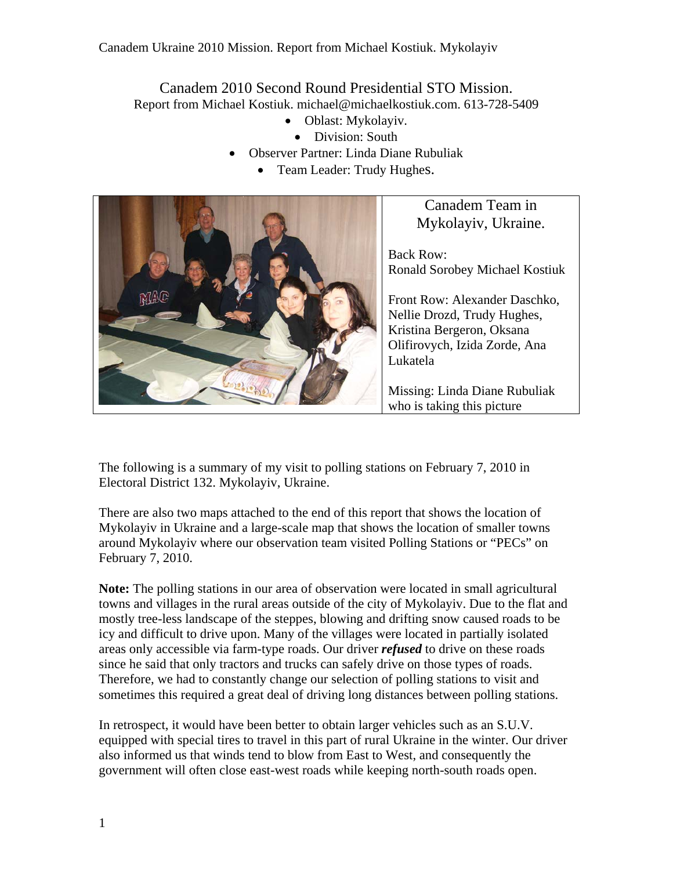Canadem 2010 Second Round Presidential STO Mission. Report from Michael Kostiuk. michael@michaelkostiuk.com. 613-728-5409

- Oblast: Mykolayiv.
	- Division: South
- Observer Partner: Linda Diane Rubuliak
	- Team Leader: Trudy Hughes.



The following is a summary of my visit to polling stations on February 7, 2010 in Electoral District 132. Mykolayiv, Ukraine.

There are also two maps attached to the end of this report that shows the location of Mykolayiv in Ukraine and a large-scale map that shows the location of smaller towns around Mykolayiv where our observation team visited Polling Stations or "PECs" on February 7, 2010.

**Note:** The polling stations in our area of observation were located in small agricultural towns and villages in the rural areas outside of the city of Mykolayiv. Due to the flat and mostly tree-less landscape of the steppes, blowing and drifting snow caused roads to be icy and difficult to drive upon. Many of the villages were located in partially isolated areas only accessible via farm-type roads. Our driver *refused* to drive on these roads since he said that only tractors and trucks can safely drive on those types of roads. Therefore, we had to constantly change our selection of polling stations to visit and sometimes this required a great deal of driving long distances between polling stations.

In retrospect, it would have been better to obtain larger vehicles such as an S.U.V. equipped with special tires to travel in this part of rural Ukraine in the winter. Our driver also informed us that winds tend to blow from East to West, and consequently the government will often close east-west roads while keeping north-south roads open.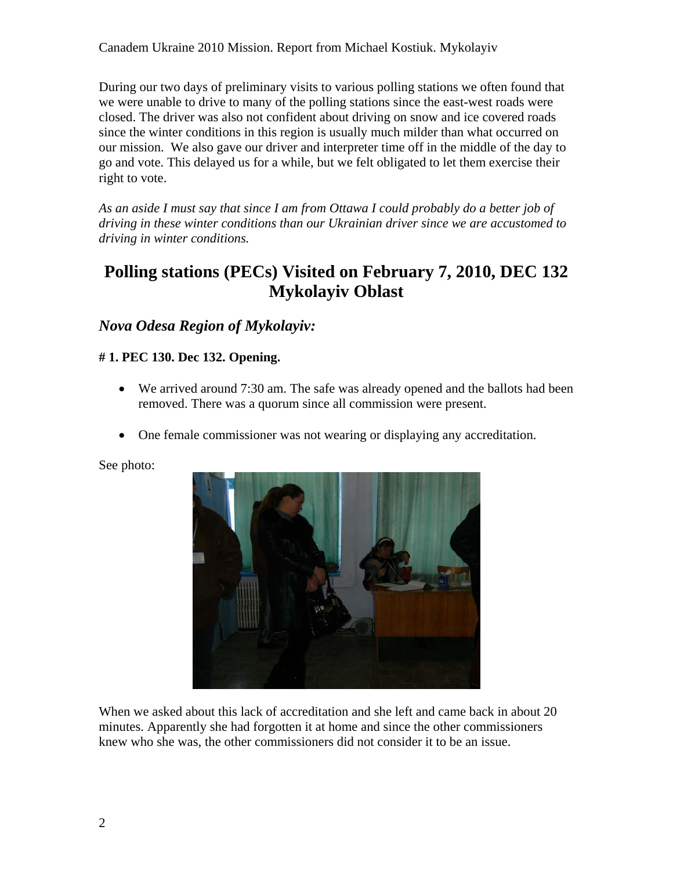During our two days of preliminary visits to various polling stations we often found that we were unable to drive to many of the polling stations since the east-west roads were closed. The driver was also not confident about driving on snow and ice covered roads since the winter conditions in this region is usually much milder than what occurred on our mission. We also gave our driver and interpreter time off in the middle of the day to go and vote. This delayed us for a while, but we felt obligated to let them exercise their right to vote.

*As an aside I must say that since I am from Ottawa I could probably do a better job of driving in these winter conditions than our Ukrainian driver since we are accustomed to driving in winter conditions.* 

# **Polling stations (PECs) Visited on February 7, 2010, DEC 132 Mykolayiv Oblast**

# *Nova Odesa Region of Mykolayiv:*

# **# 1. PEC 130. Dec 132. Opening.**

- We arrived around 7:30 am. The safe was already opened and the ballots had been removed. There was a quorum since all commission were present.
- One female commissioner was not wearing or displaying any accreditation.

See photo:



When we asked about this lack of accreditation and she left and came back in about 20 minutes. Apparently she had forgotten it at home and since the other commissioners knew who she was, the other commissioners did not consider it to be an issue.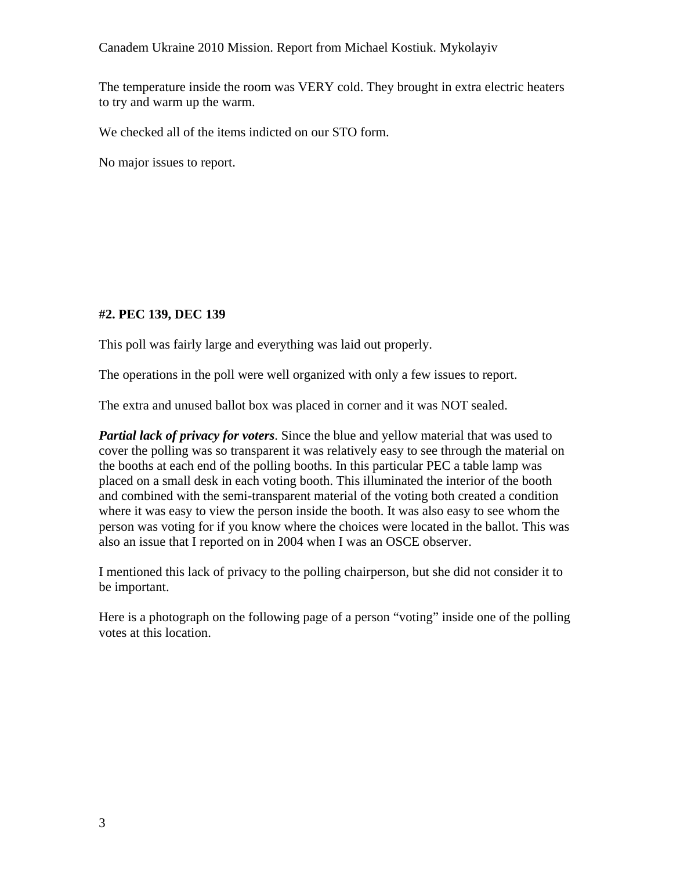The temperature inside the room was VERY cold. They brought in extra electric heaters to try and warm up the warm.

We checked all of the items indicted on our STO form.

No major issues to report.

#### **#2. PEC 139, DEC 139**

This poll was fairly large and everything was laid out properly.

The operations in the poll were well organized with only a few issues to report.

The extra and unused ballot box was placed in corner and it was NOT sealed.

*Partial lack of privacy for voters*. Since the blue and yellow material that was used to cover the polling was so transparent it was relatively easy to see through the material on the booths at each end of the polling booths. In this particular PEC a table lamp was placed on a small desk in each voting booth. This illuminated the interior of the booth and combined with the semi-transparent material of the voting both created a condition where it was easy to view the person inside the booth. It was also easy to see whom the person was voting for if you know where the choices were located in the ballot. This was also an issue that I reported on in 2004 when I was an OSCE observer.

I mentioned this lack of privacy to the polling chairperson, but she did not consider it to be important.

Here is a photograph on the following page of a person "voting" inside one of the polling votes at this location.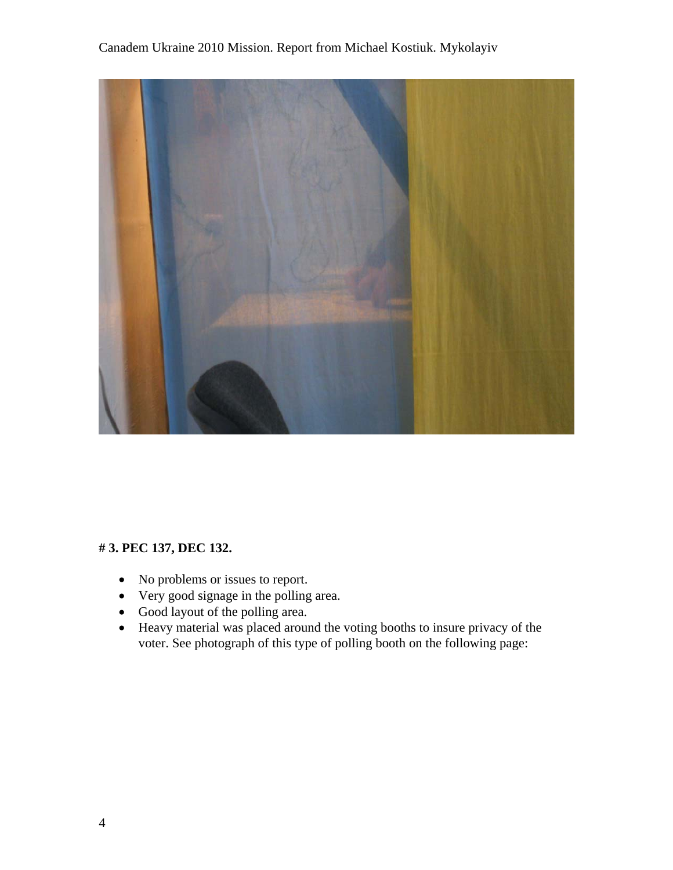

## **# 3. PEC 137, DEC 132.**

- No problems or issues to report.
- Very good signage in the polling area.
- Good layout of the polling area.
- Heavy material was placed around the voting booths to insure privacy of the voter. See photograph of this type of polling booth on the following page: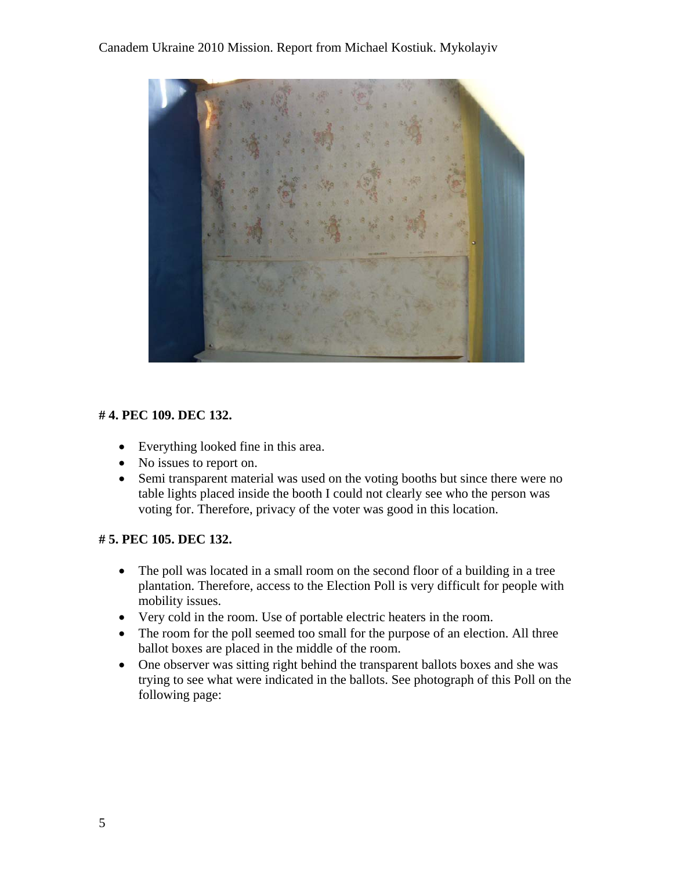

#### **# 4. PEC 109. DEC 132.**

- Everything looked fine in this area.
- No issues to report on.
- Semi transparent material was used on the voting booths but since there were no table lights placed inside the booth I could not clearly see who the person was voting for. Therefore, privacy of the voter was good in this location.

#### **# 5. PEC 105. DEC 132.**

- The poll was located in a small room on the second floor of a building in a tree plantation. Therefore, access to the Election Poll is very difficult for people with mobility issues.
- Very cold in the room. Use of portable electric heaters in the room.
- The room for the poll seemed too small for the purpose of an election. All three ballot boxes are placed in the middle of the room.
- One observer was sitting right behind the transparent ballots boxes and she was trying to see what were indicated in the ballots. See photograph of this Poll on the following page: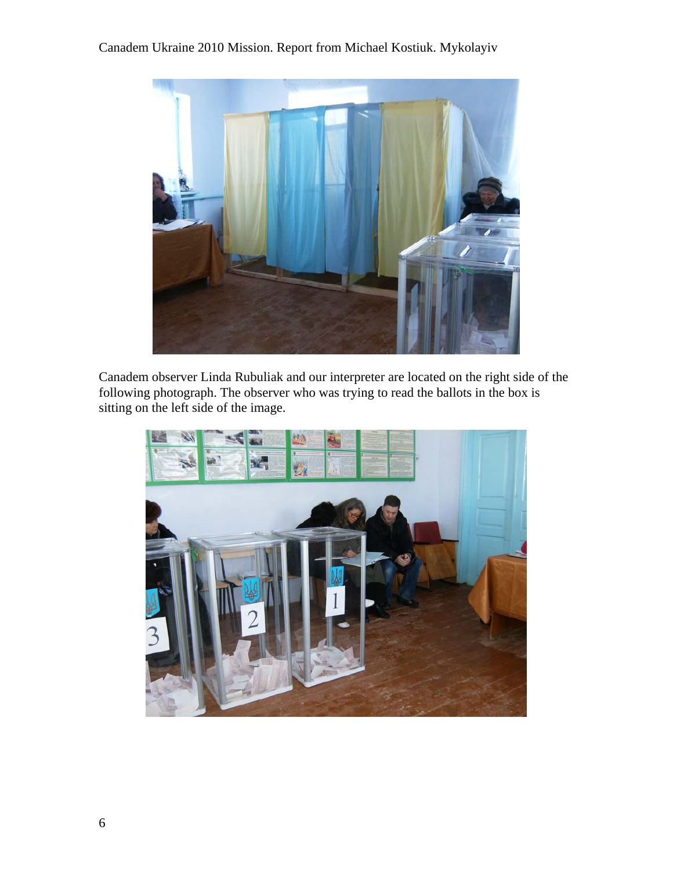

Canadem observer Linda Rubuliak and our interpreter are located on the right side of the following photograph. The observer who was trying to read the ballots in the box is sitting on the left side of the image.

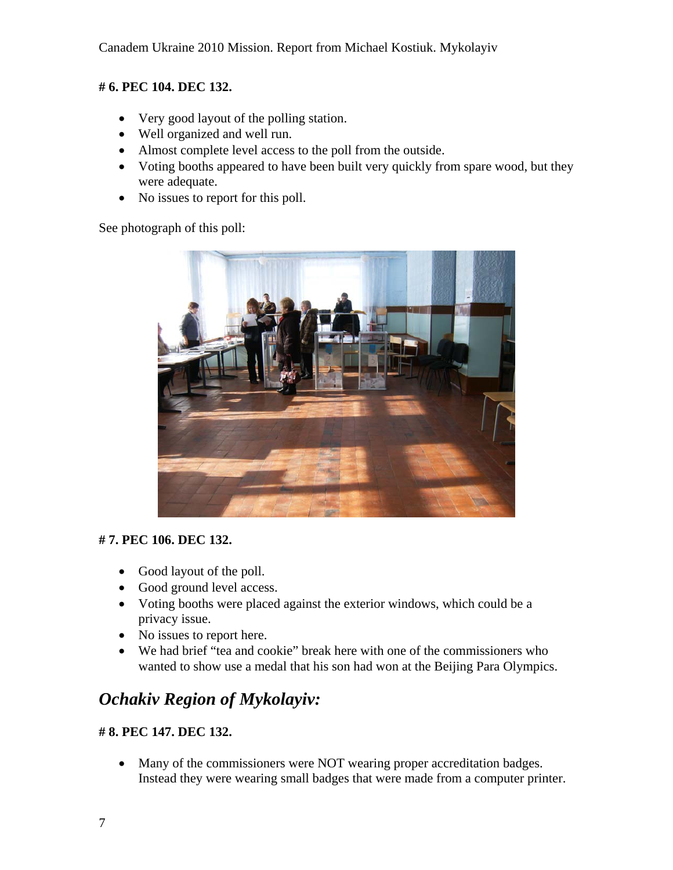# **# 6. PEC 104. DEC 132.**

- Very good layout of the polling station.
- Well organized and well run.
- Almost complete level access to the poll from the outside.
- Voting booths appeared to have been built very quickly from spare wood, but they were adequate.
- No issues to report for this poll.

See photograph of this poll:



# **# 7. PEC 106. DEC 132.**

- Good layout of the poll.
- Good ground level access.
- Voting booths were placed against the exterior windows, which could be a privacy issue.
- No issues to report here.
- We had brief "tea and cookie" break here with one of the commissioners who wanted to show use a medal that his son had won at the Beijing Para Olympics.

# *Ochakiv Region of Mykolayiv:*

# **# 8. PEC 147. DEC 132.**

• Many of the commissioners were NOT wearing proper accreditation badges. Instead they were wearing small badges that were made from a computer printer.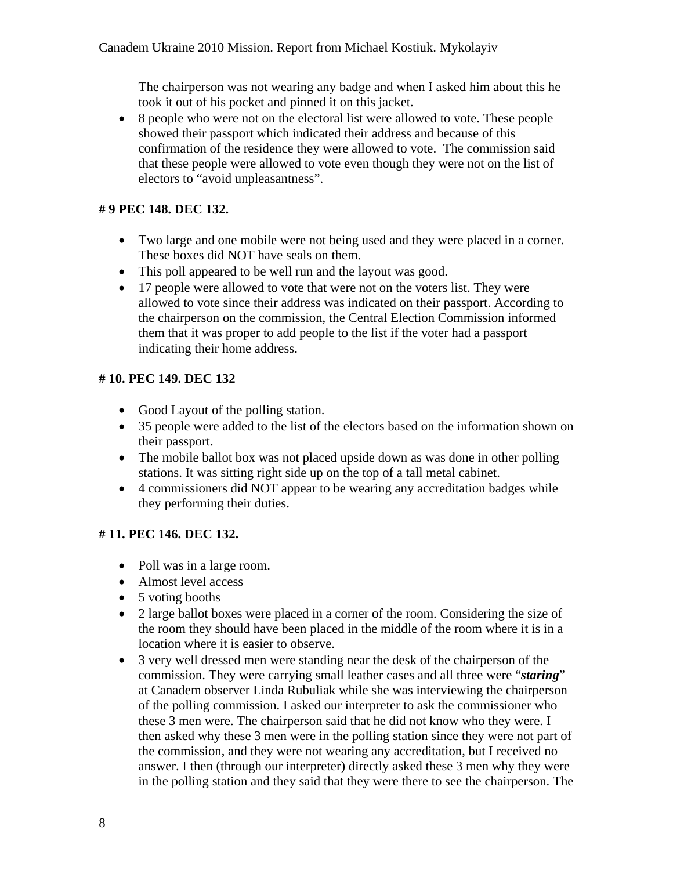The chairperson was not wearing any badge and when I asked him about this he took it out of his pocket and pinned it on this jacket.

• 8 people who were not on the electoral list were allowed to vote. These people showed their passport which indicated their address and because of this confirmation of the residence they were allowed to vote. The commission said that these people were allowed to vote even though they were not on the list of electors to "avoid unpleasantness".

## **# 9 PEC 148. DEC 132.**

- Two large and one mobile were not being used and they were placed in a corner. These boxes did NOT have seals on them.
- This poll appeared to be well run and the layout was good.
- 17 people were allowed to vote that were not on the voters list. They were allowed to vote since their address was indicated on their passport. According to the chairperson on the commission, the Central Election Commission informed them that it was proper to add people to the list if the voter had a passport indicating their home address.

### **# 10. PEC 149. DEC 132**

- Good Layout of the polling station.
- 35 people were added to the list of the electors based on the information shown on their passport.
- The mobile ballot box was not placed upside down as was done in other polling stations. It was sitting right side up on the top of a tall metal cabinet.
- 4 commissioners did NOT appear to be wearing any accreditation badges while they performing their duties.

# **# 11. PEC 146. DEC 132.**

- Poll was in a large room.
- Almost level access
- 5 voting booths
- 2 large ballot boxes were placed in a corner of the room. Considering the size of the room they should have been placed in the middle of the room where it is in a location where it is easier to observe.
- 3 very well dressed men were standing near the desk of the chairperson of the commission. They were carrying small leather cases and all three were "*staring*" at Canadem observer Linda Rubuliak while she was interviewing the chairperson of the polling commission. I asked our interpreter to ask the commissioner who these 3 men were. The chairperson said that he did not know who they were. I then asked why these 3 men were in the polling station since they were not part of the commission, and they were not wearing any accreditation, but I received no answer. I then (through our interpreter) directly asked these 3 men why they were in the polling station and they said that they were there to see the chairperson. The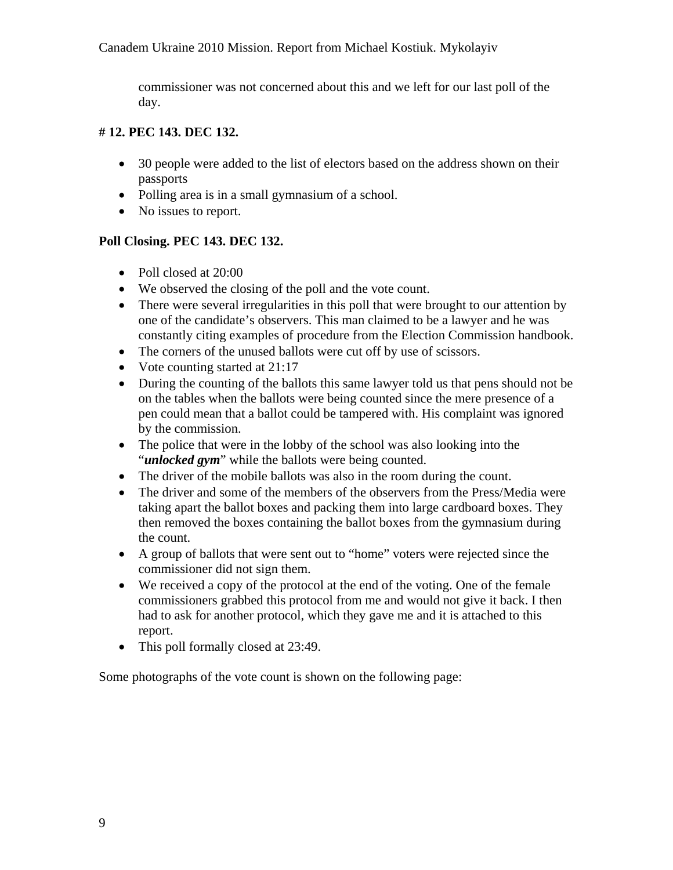commissioner was not concerned about this and we left for our last poll of the day.

### **# 12. PEC 143. DEC 132.**

- 30 people were added to the list of electors based on the address shown on their passports
- Polling area is in a small gymnasium of a school.
- No issues to report.

### **Poll Closing. PEC 143. DEC 132.**

- Poll closed at 20:00
- We observed the closing of the poll and the vote count.
- There were several irregularities in this poll that were brought to our attention by one of the candidate's observers. This man claimed to be a lawyer and he was constantly citing examples of procedure from the Election Commission handbook.
- The corners of the unused ballots were cut off by use of scissors.
- Vote counting started at 21:17
- During the counting of the ballots this same lawyer told us that pens should not be on the tables when the ballots were being counted since the mere presence of a pen could mean that a ballot could be tampered with. His complaint was ignored by the commission.
- The police that were in the lobby of the school was also looking into the "*unlocked gym*" while the ballots were being counted.
- The driver of the mobile ballots was also in the room during the count.
- The driver and some of the members of the observers from the Press/Media were taking apart the ballot boxes and packing them into large cardboard boxes. They then removed the boxes containing the ballot boxes from the gymnasium during the count.
- A group of ballots that were sent out to "home" voters were rejected since the commissioner did not sign them.
- We received a copy of the protocol at the end of the voting. One of the female commissioners grabbed this protocol from me and would not give it back. I then had to ask for another protocol, which they gave me and it is attached to this report.
- This poll formally closed at 23:49.

Some photographs of the vote count is shown on the following page: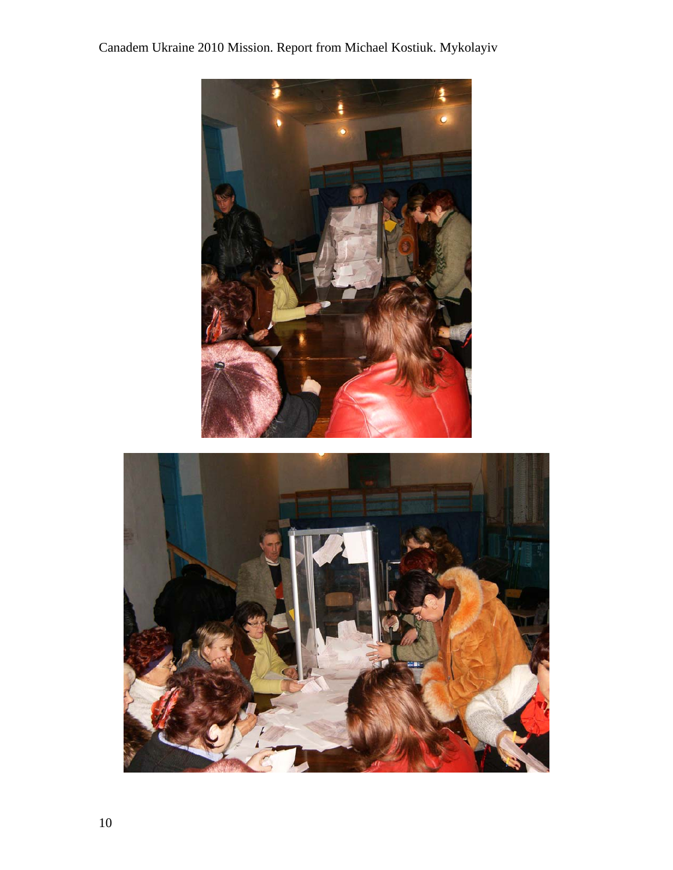

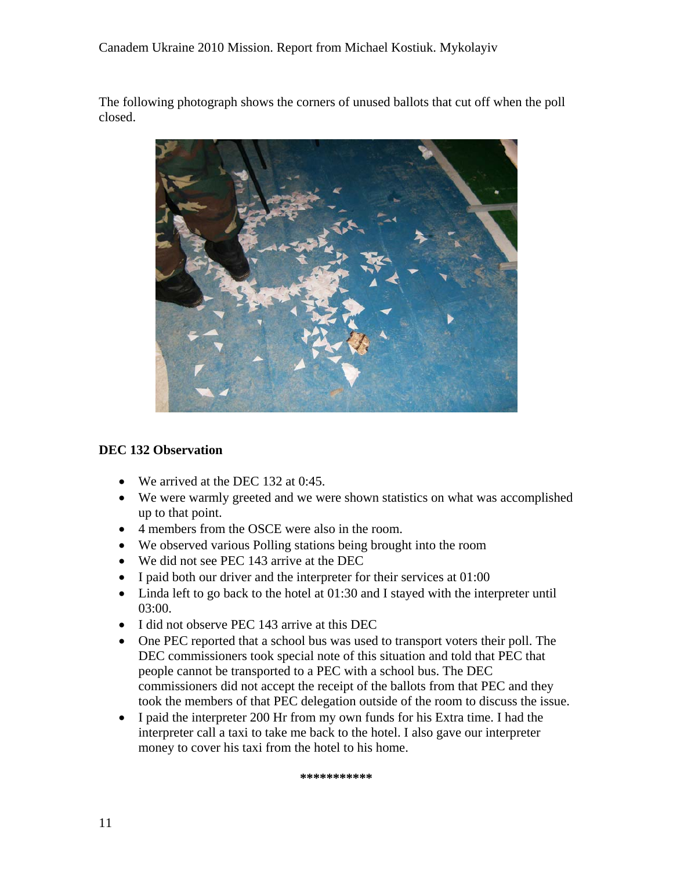The following photograph shows the corners of unused ballots that cut off when the poll closed.



#### **DEC 132 Observation**

- We arrived at the DEC 132 at 0:45.
- We were warmly greeted and we were shown statistics on what was accomplished up to that point.
- 4 members from the OSCE were also in the room.
- We observed various Polling stations being brought into the room
- We did not see PEC 143 arrive at the DEC
- I paid both our driver and the interpreter for their services at 01:00
- Linda left to go back to the hotel at 01:30 and I stayed with the interpreter until 03:00.
- I did not observe PEC 143 arrive at this DEC
- One PEC reported that a school bus was used to transport voters their poll. The DEC commissioners took special note of this situation and told that PEC that people cannot be transported to a PEC with a school bus. The DEC commissioners did not accept the receipt of the ballots from that PEC and they took the members of that PEC delegation outside of the room to discuss the issue.
- I paid the interpreter 200 Hr from my own funds for his Extra time. I had the interpreter call a taxi to take me back to the hotel. I also gave our interpreter money to cover his taxi from the hotel to his home.

**\*\*\*\*\*\*\*\*\*\*\***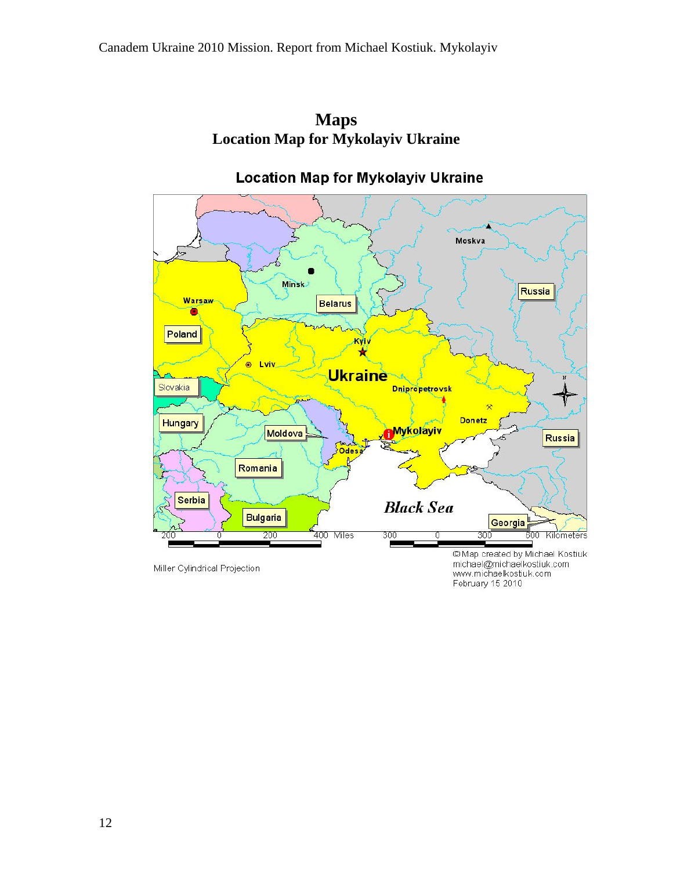

**Maps Location Map for Mykolayiv Ukraine** 

Miller Cylindrical Projection

michael@michaelkostiuk.com February 15 2010